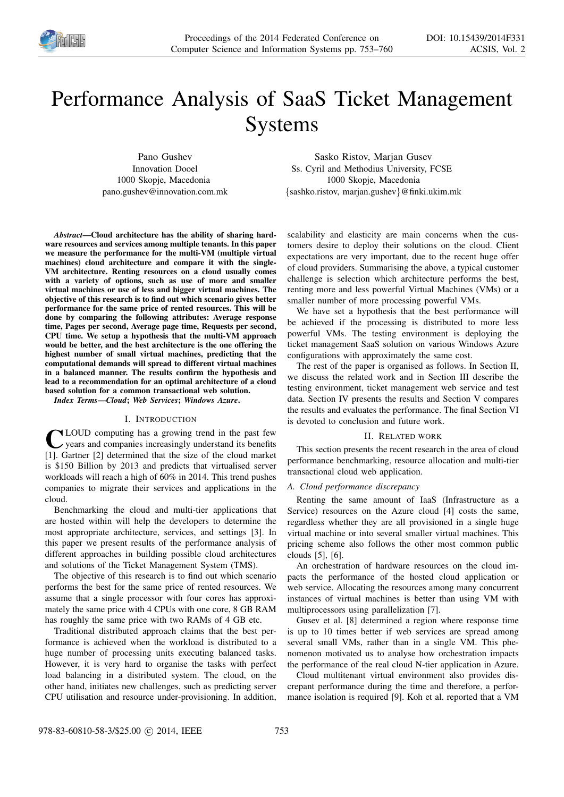

# Performance Analysis of SaaS Ticket Management Systems

Pano Gushev Innovation Dooel 1000 Skopje, Macedonia pano.gushev@innovation.com.mk

Sasko Ristov, Marjan Gusev Ss. Cyril and Methodius University, FCSE 1000 Skopje, Macedonia {sashko.ristov, marjan.gushev}@finki.ukim.mk

*Abstract*—Cloud architecture has the ability of sharing hardware resources and services among multiple tenants. In this paper we measure the performance for the multi-VM (multiple virtual machines) cloud architecture and compare it with the single-VM architecture. Renting resources on a cloud usually comes with a variety of options, such as use of more and smaller virtual machines or use of less and bigger virtual machines. The objective of this research is to find out which scenario gives better performance for the same price of rented resources. This will be done by comparing the following attributes: Average response time, Pages per second, Average page time, Requests per second, CPU time. We setup a hypothesis that the multi-VM approach would be better, and the best architecture is the one offering the highest number of small virtual machines, predicting that the computational demands will spread to different virtual machines in a balanced manner. The results confirm the hypothesis and lead to a recommendation for an optimal architecture of a cloud based solution for a common transactional web solution.

*Index Terms*—*Cloud*; *Web Services*; *Windows Azure*.

# I. INTRODUCTION

C LOUD computing has a growing trend in the past few years and companies increasingly understand its benefits [1]. Gartner [2] determined that the size of the cloud market LOUD computing has a growing trend in the past few years and companies increasingly understand its benefits is \$150 Billion by 2013 and predicts that virtualised server workloads will reach a high of 60% in 2014. This trend pushes companies to migrate their services and applications in the cloud.

Benchmarking the cloud and multi-tier applications that are hosted within will help the developers to determine the most appropriate architecture, services, and settings [3]. In this paper we present results of the performance analysis of different approaches in building possible cloud architectures and solutions of the Ticket Management System (TMS).

The objective of this research is to find out which scenario performs the best for the same price of rented resources. We assume that a single processor with four cores has approximately the same price with 4 CPUs with one core, 8 GB RAM has roughly the same price with two RAMs of 4 GB etc.

Traditional distributed approach claims that the best performance is achieved when the workload is distributed to a huge number of processing units executing balanced tasks. However, it is very hard to organise the tasks with perfect load balancing in a distributed system. The cloud, on the other hand, initiates new challenges, such as predicting server CPU utilisation and resource under-provisioning. In addition,

scalability and elasticity are main concerns when the customers desire to deploy their solutions on the cloud. Client expectations are very important, due to the recent huge offer of cloud providers. Summarising the above, a typical customer challenge is selection which architecture performs the best, renting more and less powerful Virtual Machines (VMs) or a smaller number of more processing powerful VMs.

We have set a hypothesis that the best performance will be achieved if the processing is distributed to more less powerful VMs. The testing environment is deploying the ticket management SaaS solution on various Windows Azure configurations with approximately the same cost.

The rest of the paper is organised as follows. In Section II, we discuss the related work and in Section III describe the testing environment, ticket management web service and test data. Section IV presents the results and Section V compares the results and evaluates the performance. The final Section VI is devoted to conclusion and future work.

#### II. RELATED WORK

This section presents the recent research in the area of cloud performance benchmarking, resource allocation and multi-tier transactional cloud web application.

#### *A. Cloud performance discrepancy*

Renting the same amount of IaaS (Infrastructure as a Service) resources on the Azure cloud [4] costs the same, regardless whether they are all provisioned in a single huge virtual machine or into several smaller virtual machines. This pricing scheme also follows the other most common public clouds [5], [6].

An orchestration of hardware resources on the cloud impacts the performance of the hosted cloud application or web service. Allocating the resources among many concurrent instances of virtual machines is better than using VM with multiprocessors using parallelization [7].

Gusev et al. [8] determined a region where response time is up to 10 times better if web services are spread among several small VMs, rather than in a single VM. This phenomenon motivated us to analyse how orchestration impacts the performance of the real cloud N-tier application in Azure.

Cloud multitenant virtual environment also provides discrepant performance during the time and therefore, a performance isolation is required [9]. Koh et al. reported that a VM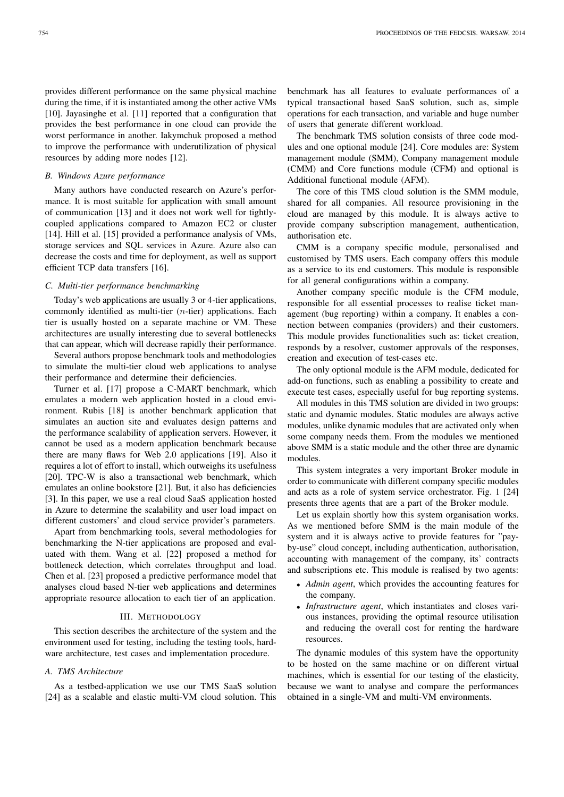provides different performance on the same physical machine during the time, if it is instantiated among the other active VMs [10]. Jayasinghe et al. [11] reported that a configuration that provides the best performance in one cloud can provide the worst performance in another. Iakymchuk proposed a method to improve the performance with underutilization of physical resources by adding more nodes [12].

## *B. Windows Azure performance*

Many authors have conducted research on Azure's performance. It is most suitable for application with small amount of communication [13] and it does not work well for tightlycoupled applications compared to Amazon EC2 or cluster [14]. Hill et al. [15] provided a performance analysis of VMs, storage services and SQL services in Azure. Azure also can decrease the costs and time for deployment, as well as support efficient TCP data transfers [16].

#### *C. Multi-tier performance benchmarking*

Today's web applications are usually 3 or 4-tier applications, commonly identified as multi-tier  $(n$ -tier) applications. Each tier is usually hosted on a separate machine or VM. These architectures are usually interesting due to several bottlenecks that can appear, which will decrease rapidly their performance.

Several authors propose benchmark tools and methodologies to simulate the multi-tier cloud web applications to analyse their performance and determine their deficiencies.

Turner et al. [17] propose a C-MART benchmark, which emulates a modern web application hosted in a cloud environment. Rubis [18] is another benchmark application that simulates an auction site and evaluates design patterns and the performance scalability of application servers. However, it cannot be used as a modern application benchmark because there are many flaws for Web 2.0 applications [19]. Also it requires a lot of effort to install, which outweighs its usefulness [20]. TPC-W is also a transactional web benchmark, which emulates an online bookstore [21]. But, it also has deficiencies [3]. In this paper, we use a real cloud SaaS application hosted in Azure to determine the scalability and user load impact on different customers' and cloud service provider's parameters.

Apart from benchmarking tools, several methodologies for benchmarking the N-tier applications are proposed and evaluated with them. Wang et al. [22] proposed a method for bottleneck detection, which correlates throughput and load. Chen et al. [23] proposed a predictive performance model that analyses cloud based N-tier web applications and determines appropriate resource allocation to each tier of an application.

# III. METHODOLOGY

This section describes the architecture of the system and the environment used for testing, including the testing tools, hardware architecture, test cases and implementation procedure.

#### *A. TMS Architecture*

As a testbed-application we use our TMS SaaS solution [24] as a scalable and elastic multi-VM cloud solution. This

benchmark has all features to evaluate performances of a typical transactional based SaaS solution, such as, simple operations for each transaction, and variable and huge number of users that generate different workload.

The benchmark TMS solution consists of three code modules and one optional module [24]. Core modules are: System management module (SMM), Company management module (CMM) and Core functions module (CFM) and optional is Additional functional module (AFM).

The core of this TMS cloud solution is the SMM module, shared for all companies. All resource provisioning in the cloud are managed by this module. It is always active to provide company subscription management, authentication, authorisation etc.

CMM is a company specific module, personalised and customised by TMS users. Each company offers this module as a service to its end customers. This module is responsible for all general configurations within a company.

Another company specific module is the CFM module, responsible for all essential processes to realise ticket management (bug reporting) within a company. It enables a connection between companies (providers) and their customers. This module provides functionalities such as: ticket creation, responds by a resolver, customer approvals of the responses, creation and execution of test-cases etc.

The only optional module is the AFM module, dedicated for add-on functions, such as enabling a possibility to create and execute test cases, especially useful for bug reporting systems.

All modules in this TMS solution are divided in two groups: static and dynamic modules. Static modules are always active modules, unlike dynamic modules that are activated only when some company needs them. From the modules we mentioned above SMM is a static module and the other three are dynamic modules.

This system integrates a very important Broker module in order to communicate with different company specific modules and acts as a role of system service orchestrator. Fig. 1 [24] presents three agents that are a part of the Broker module.

Let us explain shortly how this system organisation works. As we mentioned before SMM is the main module of the system and it is always active to provide features for "payby-use" cloud concept, including authentication, authorisation, accounting with management of the company, its' contracts and subscriptions etc. This module is realised by two agents:

- *Admin agent*, which provides the accounting features for the company.
- *Infrastructure agent*, which instantiates and closes various instances, providing the optimal resource utilisation and reducing the overall cost for renting the hardware resources.

The dynamic modules of this system have the opportunity to be hosted on the same machine or on different virtual machines, which is essential for our testing of the elasticity, because we want to analyse and compare the performances obtained in a single-VM and multi-VM environments.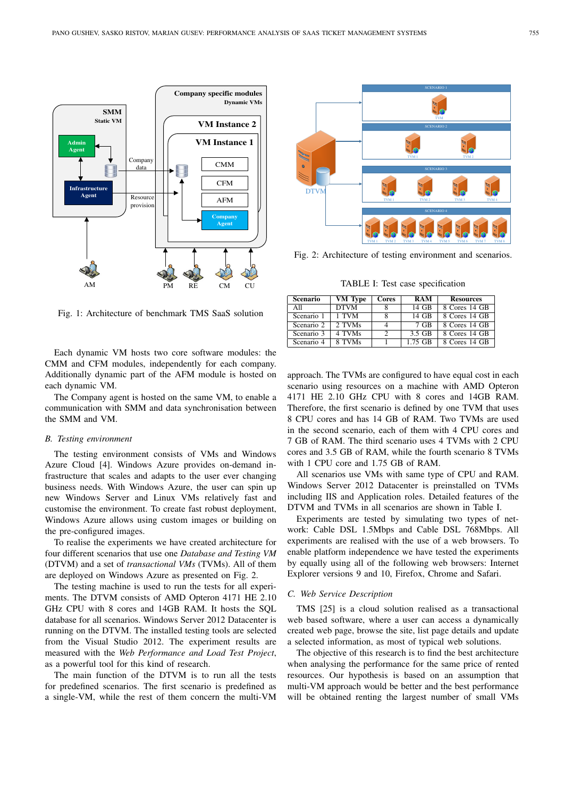

Fig. 1: Architecture of benchmark TMS SaaS solution

Each dynamic VM hosts two core software modules: the CMM and CFM modules, independently for each company. Additionally dynamic part of the AFM module is hosted on each dynamic VM.

The Company agent is hosted on the same VM, to enable a communication with SMM and data synchronisation between the SMM and VM.

## *B. Testing environment*

The testing environment consists of VMs and Windows Azure Cloud [4]. Windows Azure provides on-demand infrastructure that scales and adapts to the user ever changing business needs. With Windows Azure, the user can spin up new Windows Server and Linux VMs relatively fast and customise the environment. To create fast robust deployment, Windows Azure allows using custom images or building on the pre-configured images.

To realise the experiments we have created architecture for four different scenarios that use one *Database and Testing VM* (DTVM) and a set of *transactional VMs* (TVMs). All of them are deployed on Windows Azure as presented on Fig. 2.

The testing machine is used to run the tests for all experiments. The DTVM consists of AMD Opteron 4171 HE 2.10 GHz CPU with 8 cores and 14GB RAM. It hosts the SQL database for all scenarios. Windows Server 2012 Datacenter is running on the DTVM. The installed testing tools are selected from the Visual Studio 2012. The experiment results are measured with the *Web Performance and Load Test Project*, as a powerful tool for this kind of research.

The main function of the DTVM is to run all the tests for predefined scenarios. The first scenario is predefined as a single-VM, while the rest of them concern the multi-VM



Fig. 2: Architecture of testing environment and scenarios.

TABLE I: Test case specification

| <b>Scenario</b> | VM Type     | Cores | <b>RAM</b> | <b>Resources</b> |
|-----------------|-------------|-------|------------|------------------|
| All             | <b>DTVM</b> |       | $14$ GB    | 8 Cores 14 GB    |
| Scenario 1      | 1 TVM       | 8     | 14 GB      | 8 Cores 14 GB    |
| Scenario 2      | 2 TVMs      |       | 7 GB       | 8 Cores 14 GB    |
| Scenario 3      | 4 TVMs      |       | 3.5 GB     | 8 Cores 14 GB    |
| Scenario 4      | 8 TVMs      |       | 1.75 GB    | 8 Cores 14 GB    |

approach. The TVMs are configured to have equal cost in each scenario using resources on a machine with AMD Opteron 4171 HE 2.10 GHz CPU with 8 cores and 14GB RAM. Therefore, the first scenario is defined by one TVM that uses 8 CPU cores and has 14 GB of RAM. Two TVMs are used in the second scenario, each of them with 4 CPU cores and 7 GB of RAM. The third scenario uses 4 TVMs with 2 CPU cores and 3.5 GB of RAM, while the fourth scenario 8 TVMs with 1 CPU core and 1.75 GB of RAM.

All scenarios use VMs with same type of CPU and RAM. Windows Server 2012 Datacenter is preinstalled on TVMs including IIS and Application roles. Detailed features of the DTVM and TVMs in all scenarios are shown in Table I.

Experiments are tested by simulating two types of network: Cable DSL 1.5Mbps and Cable DSL 768Mbps. All experiments are realised with the use of a web browsers. To enable platform independence we have tested the experiments by equally using all of the following web browsers: Internet Explorer versions 9 and 10, Firefox, Chrome and Safari.

## *C. Web Service Description*

TMS [25] is a cloud solution realised as a transactional web based software, where a user can access a dynamically created web page, browse the site, list page details and update a selected information, as most of typical web solutions.

The objective of this research is to find the best architecture when analysing the performance for the same price of rented resources. Our hypothesis is based on an assumption that multi-VM approach would be better and the best performance will be obtained renting the largest number of small VMs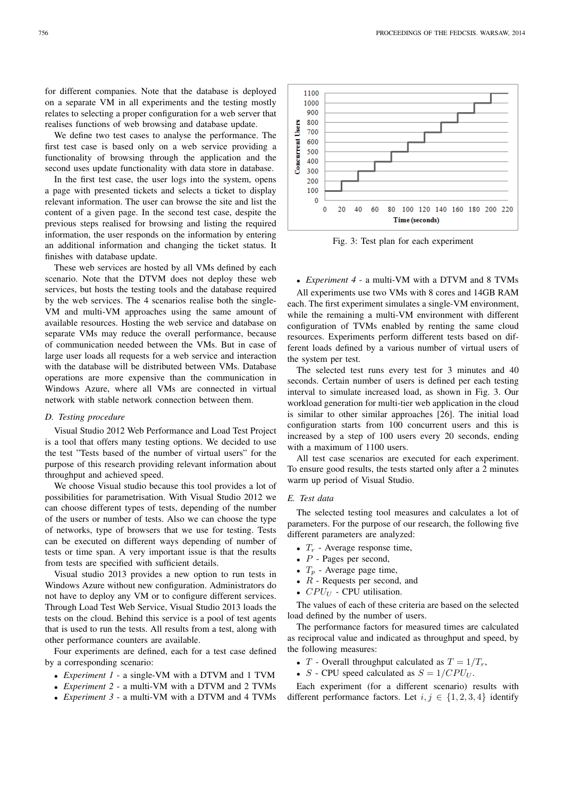for different companies. Note that the database is deployed on a separate VM in all experiments and the testing mostly relates to selecting a proper configuration for a web server that realises functions of web browsing and database update.

We define two test cases to analyse the performance. The first test case is based only on a web service providing a functionality of browsing through the application and the second uses update functionality with data store in database.

In the first test case, the user logs into the system, opens a page with presented tickets and selects a ticket to display relevant information. The user can browse the site and list the content of a given page. In the second test case, despite the previous steps realised for browsing and listing the required information, the user responds on the information by entering an additional information and changing the ticket status. It finishes with database update.

These web services are hosted by all VMs defined by each scenario. Note that the DTVM does not deploy these web services, but hosts the testing tools and the database required by the web services. The 4 scenarios realise both the single-VM and multi-VM approaches using the same amount of available resources. Hosting the web service and database on separate VMs may reduce the overall performance, because of communication needed between the VMs. But in case of large user loads all requests for a web service and interaction with the database will be distributed between VMs. Database operations are more expensive than the communication in Windows Azure, where all VMs are connected in virtual network with stable network connection between them.

#### *D. Testing procedure*

Visual Studio 2012 Web Performance and Load Test Project is a tool that offers many testing options. We decided to use the test "Tests based of the number of virtual users" for the purpose of this research providing relevant information about throughput and achieved speed.

We choose Visual studio because this tool provides a lot of possibilities for parametrisation. With Visual Studio 2012 we can choose different types of tests, depending of the number of the users or number of tests. Also we can choose the type of networks, type of browsers that we use for testing. Tests can be executed on different ways depending of number of tests or time span. A very important issue is that the results from tests are specified with sufficient details.

Visual studio 2013 provides a new option to run tests in Windows Azure without new configuration. Administrators do not have to deploy any VM or to configure different services. Through Load Test Web Service, Visual Studio 2013 loads the tests on the cloud. Behind this service is a pool of test agents that is used to run the tests. All results from a test, along with other performance counters are available.

Four experiments are defined, each for a test case defined by a corresponding scenario:

- *Experiment 1* a single-VM with a DTVM and 1 TVM
- *Experiment 2* a multi-VM with a DTVM and 2 TVMs
- *Experiment 3* a multi-VM with a DTVM and 4 TVMs



Fig. 3: Test plan for each experiment

• *Experiment 4* - a multi-VM with a DTVM and 8 TVMs

All experiments use two VMs with 8 cores and 14GB RAM each. The first experiment simulates a single-VM environment, while the remaining a multi-VM environment with different configuration of TVMs enabled by renting the same cloud resources. Experiments perform different tests based on different loads defined by a various number of virtual users of the system per test.

The selected test runs every test for 3 minutes and 40 seconds. Certain number of users is defined per each testing interval to simulate increased load, as shown in Fig. 3. Our workload generation for multi-tier web application in the cloud is similar to other similar approaches [26]. The initial load configuration starts from 100 concurrent users and this is increased by a step of 100 users every 20 seconds, ending with a maximum of 1100 users.

All test case scenarios are executed for each experiment. To ensure good results, the tests started only after a 2 minutes warm up period of Visual Studio.

#### *E. Test data*

The selected testing tool measures and calculates a lot of parameters. For the purpose of our research, the following five different parameters are analyzed:

- $T_r$  Average response time,
- $P$  Pages per second,
- $T_p$  Average page time,
- $R$  Requests per second, and
- $CPU_U$  CPU utilisation.

The values of each of these criteria are based on the selected load defined by the number of users.

The performance factors for measured times are calculated as reciprocal value and indicated as throughput and speed, by the following measures:

- $T$  Overall throughput calculated as  $T = 1/T_r$ ,
- $S$  CPU speed calculated as  $S = 1/CPU_U$ .

Each experiment (for a different scenario) results with different performance factors. Let  $i, j \in \{1, 2, 3, 4\}$  identify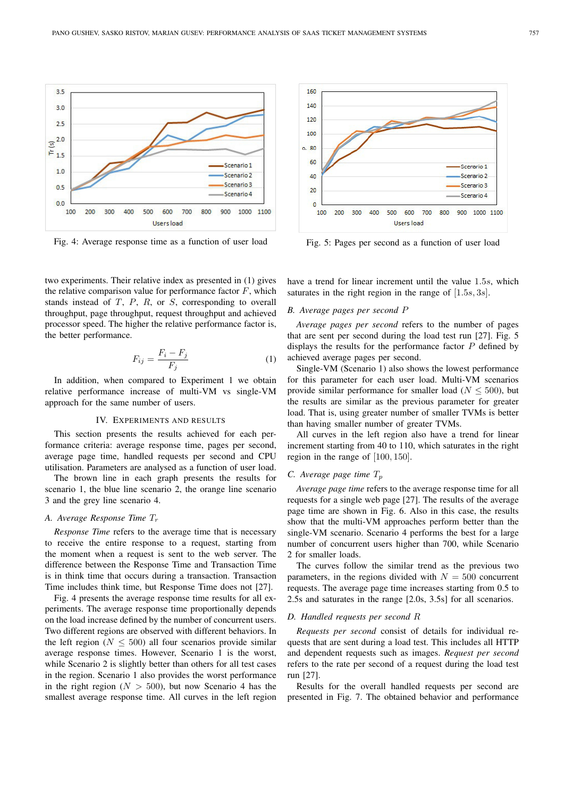

Fig. 4: Average response time as a function of user load

two experiments. Their relative index as presented in (1) gives the relative comparison value for performance factor  $F$ , which stands instead of  $T$ ,  $P$ ,  $R$ , or  $S$ , corresponding to overall throughput, page throughput, request throughput and achieved processor speed. The higher the relative performance factor is, the better performance.

$$
F_{ij} = \frac{F_i - F_j}{F_j} \tag{1}
$$

In addition, when compared to Experiment 1 we obtain relative performance increase of multi-VM vs single-VM approach for the same number of users.

#### IV. EXPERIMENTS AND RESULTS

This section presents the results achieved for each performance criteria: average response time, pages per second, average page time, handled requests per second and CPU utilisation. Parameters are analysed as a function of user load.

The brown line in each graph presents the results for scenario 1, the blue line scenario 2, the orange line scenario 3 and the grey line scenario 4.

## *A. Average Response Time* T<sup>r</sup>

*Response Time* refers to the average time that is necessary to receive the entire response to a request, starting from the moment when a request is sent to the web server. The difference between the Response Time and Transaction Time is in think time that occurs during a transaction. Transaction Time includes think time, but Response Time does not [27].

Fig. 4 presents the average response time results for all experiments. The average response time proportionally depends on the load increase defined by the number of concurrent users. Two different regions are observed with different behaviors. In the left region ( $N \leq 500$ ) all four scenarios provide similar average response times. However, Scenario 1 is the worst, while Scenario 2 is slightly better than others for all test cases in the region. Scenario 1 also provides the worst performance in the right region ( $N > 500$ ), but now Scenario 4 has the smallest average response time. All curves in the left region



Fig. 5: Pages per second as a function of user load

have a trend for linear increment until the value 1.5s, which saturates in the right region in the range of  $[1.5s, 3s]$ .

## *B. Average pages per second* P

*Average pages per second* refers to the number of pages that are sent per second during the load test run [27]. Fig. 5 displays the results for the performance factor  $P$  defined by achieved average pages per second.

Single-VM (Scenario 1) also shows the lowest performance for this parameter for each user load. Multi-VM scenarios provide similar performance for smaller load ( $N \le 500$ ), but the results are similar as the previous parameter for greater load. That is, using greater number of smaller TVMs is better than having smaller number of greater TVMs.

All curves in the left region also have a trend for linear increment starting from 40 to 110, which saturates in the right region in the range of [100, 150].

# *C. Average page time* T<sup>p</sup>

*Average page time* refers to the average response time for all requests for a single web page [27]. The results of the average page time are shown in Fig. 6. Also in this case, the results show that the multi-VM approaches perform better than the single-VM scenario. Scenario 4 performs the best for a large number of concurrent users higher than 700, while Scenario 2 for smaller loads.

The curves follow the similar trend as the previous two parameters, in the regions divided with  $N = 500$  concurrent requests. The average page time increases starting from 0.5 to 2.5s and saturates in the range [2.0s, 3.5s] for all scenarios.

# *D. Handled requests per second* R

*Requests per second* consist of details for individual requests that are sent during a load test. This includes all HTTP and dependent requests such as images. *Request per second* refers to the rate per second of a request during the load test run [27].

Results for the overall handled requests per second are presented in Fig. 7. The obtained behavior and performance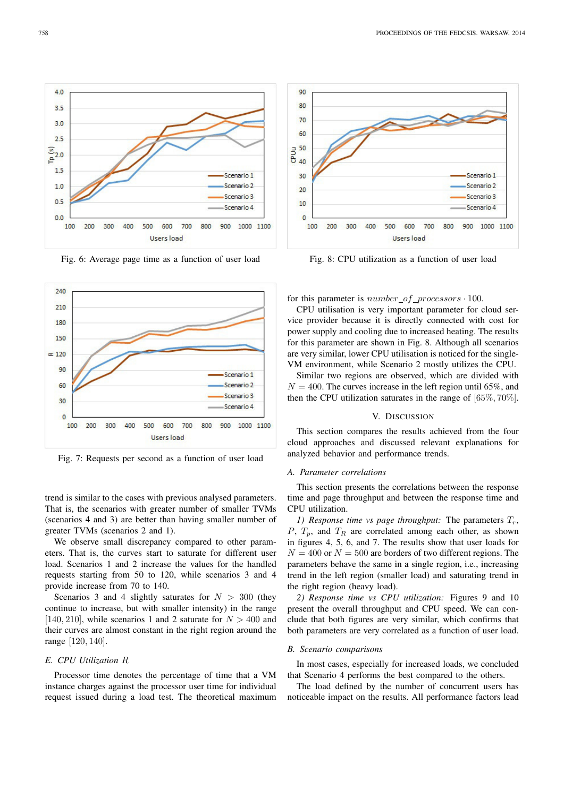

Fig. 6: Average page time as a function of user load



Fig. 7: Requests per second as a function of user load

trend is similar to the cases with previous analysed parameters. That is, the scenarios with greater number of smaller TVMs (scenarios 4 and 3) are better than having smaller number of greater TVMs (scenarios 2 and 1).

We observe small discrepancy compared to other parameters. That is, the curves start to saturate for different user load. Scenarios 1 and 2 increase the values for the handled requests starting from 50 to 120, while scenarios 3 and 4 provide increase from 70 to 140.

Scenarios 3 and 4 slightly saturates for  $N > 300$  (they continue to increase, but with smaller intensity) in the range [140, 210], while scenarios 1 and 2 saturate for  $N > 400$  and their curves are almost constant in the right region around the range [120, 140].

# *E. CPU Utilization* R

Processor time denotes the percentage of time that a VM instance charges against the processor user time for individual request issued during a load test. The theoretical maximum  $700$ 

 $800$ 

Scenario 1

Scenario<sub>2</sub>

Scenario 3

Scenario 4

1000 1100

 $900$ 

Fig. 8: CPU utilization as a function of user load

Users load

500 600

# for this parameter is  $number\_of\_processors \cdot 100$ .

CPU utilisation is very important parameter for cloud service provider because it is directly connected with cost for power supply and cooling due to increased heating. The results for this parameter are shown in Fig. 8. Although all scenarios are very similar, lower CPU utilisation is noticed for the single-VM environment, while Scenario 2 mostly utilizes the CPU.

Similar two regions are observed, which are divided with  $N = 400$ . The curves increase in the left region until 65%, and then the CPU utilization saturates in the range of [65%, 70%].

#### V. DISCUSSION

This section compares the results achieved from the four cloud approaches and discussed relevant explanations for analyzed behavior and performance trends.

#### *A. Parameter correlations*

 $90$ 80

 $70$ 

60

 $\overline{5}$  50

6 40

30

 $20$ 

 $10$ 

 $\overline{0}$ 

 $100$ 

 $200$ 

300

 $400$ 

This section presents the correlations between the response time and page throughput and between the response time and CPU utilization.

*1)* Response time vs page throughput: The parameters  $T_r$ ,  $P$ ,  $T_p$ , and  $T_R$  are correlated among each other, as shown in figures 4, 5, 6, and 7. The results show that user loads for  $N = 400$  or  $N = 500$  are borders of two different regions. The parameters behave the same in a single region, i.e., increasing trend in the left region (smaller load) and saturating trend in the right region (heavy load).

*2) Response time vs CPU utilization:* Figures 9 and 10 present the overall throughput and CPU speed. We can conclude that both figures are very similar, which confirms that both parameters are very correlated as a function of user load.

#### *B. Scenario comparisons*

In most cases, especially for increased loads, we concluded that Scenario 4 performs the best compared to the others.

The load defined by the number of concurrent users has noticeable impact on the results. All performance factors lead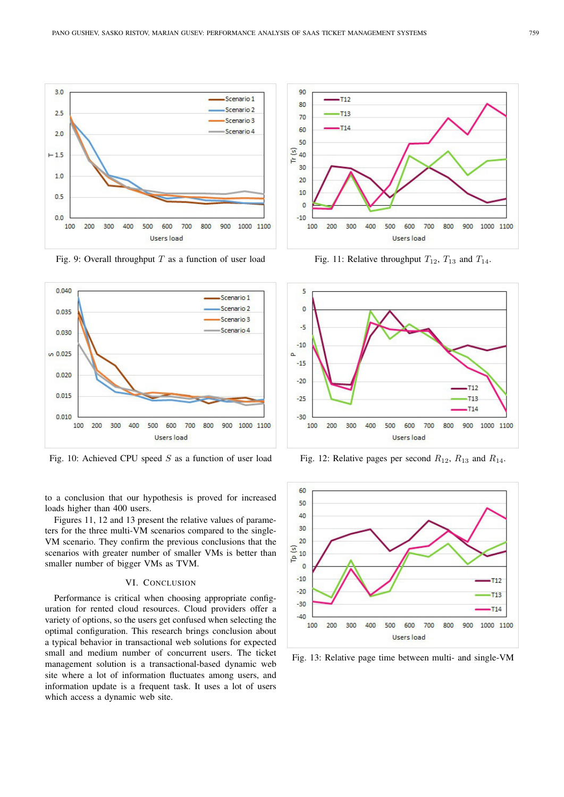

Fig. 9: Overall throughput  $T$  as a function of user load



Fig. 10: Achieved CPU speed  $S$  as a function of user load

to a conclusion that our hypothesis is proved for increased loads higher than 400 users.

Figures 11, 12 and 13 present the relative values of parameters for the three multi-VM scenarios compared to the single-VM scenario. They confirm the previous conclusions that the scenarios with greater number of smaller VMs is better than smaller number of bigger VMs as TVM.

# VI. CONCLUSION

Performance is critical when choosing appropriate configuration for rented cloud resources. Cloud providers offer a variety of options, so the users get confused when selecting the optimal configuration. This research brings conclusion about a typical behavior in transactional web solutions for expected small and medium number of concurrent users. The ticket management solution is a transactional-based dynamic web site where a lot of information fluctuates among users, and information update is a frequent task. It uses a lot of users which access a dynamic web site.



Fig. 11: Relative throughput  $T_{12}$ ,  $T_{13}$  and  $T_{14}$ .



Fig. 12: Relative pages per second  $R_{12}$ ,  $R_{13}$  and  $R_{14}$ .



Fig. 13: Relative page time between multi- and single-VM